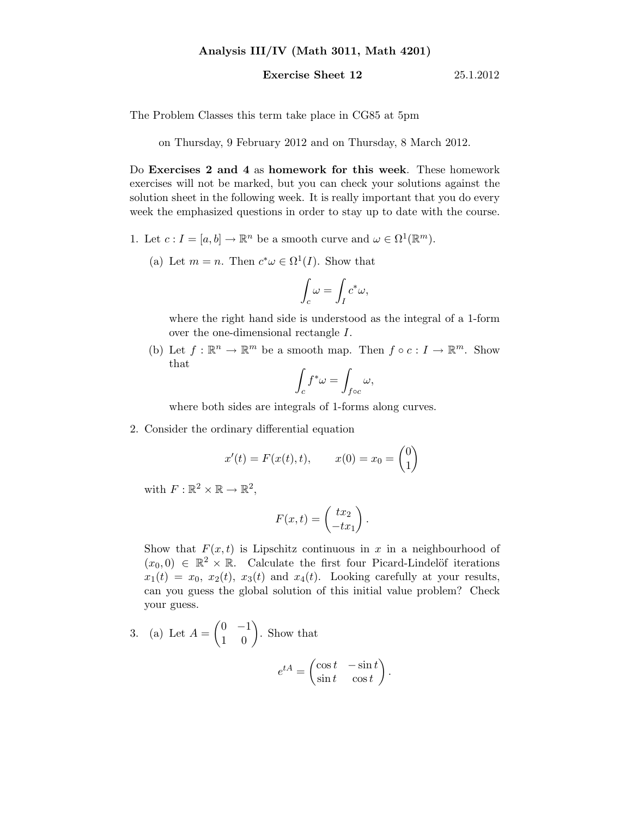## Analysis III/IV (Math 3011, Math 4201)

## **Exercise Sheet 12** 25.1.2012

The Problem Classes this term take place in CG85 at 5pm

on Thursday, 9 February 2012 and on Thursday, 8 March 2012.

Do Exercises 2 and 4 as homework for this week. These homework exercises will not be marked, but you can check your solutions against the solution sheet in the following week. It is really important that you do every week the emphasized questions in order to stay up to date with the course.

- 1. Let  $c: I = [a, b] \to \mathbb{R}^n$  be a smooth curve and  $\omega \in \Omega^1(\mathbb{R}^m)$ .
	- (a) Let  $m = n$ . Then  $c^* \omega \in \Omega^1(I)$ . Show that

$$
\int_c \omega = \int_I c^* \omega,
$$

where the right hand side is understood as the integral of a 1-form over the one-dimensional rectangle I.

(b) Let  $f : \mathbb{R}^n \to \mathbb{R}^m$  be a smooth map. Then  $f \circ c : I \to \mathbb{R}^m$ . Show that

$$
\int_{c} f^* \omega = \int_{f \circ c} \omega,
$$

where both sides are integrals of 1-forms along curves.

2. Consider the ordinary differential equation

$$
x'(t) = F(x(t), t),
$$
  $x(0) = x_0 = \begin{pmatrix} 0 \\ 1 \end{pmatrix}$ 

with  $F: \mathbb{R}^2 \times \mathbb{R} \to \mathbb{R}^2$ ,

$$
F(x,t) = \begin{pmatrix} tx_2 \\ -tx_1 \end{pmatrix}.
$$

Show that  $F(x,t)$  is Lipschitz continuous in x in a neighbourhood of  $(x_0, 0) \in \mathbb{R}^2 \times \mathbb{R}$ . Calculate the first four Picard-Lindelöf iterations  $x_1(t) = x_0, x_2(t), x_3(t)$  and  $x_4(t)$ . Looking carefully at your results, can you guess the global solution of this initial value problem? Check your guess.

3. (a) Let 
$$
A = \begin{pmatrix} 0 & -1 \\ 1 & 0 \end{pmatrix}
$$
. Show that  

$$
e^{tA} = \begin{pmatrix} \cos t & -\sin t \\ \sin t & \cos t \end{pmatrix}.
$$